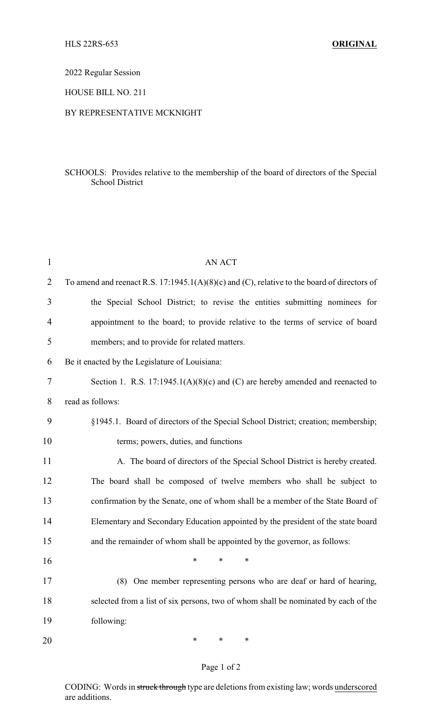2022 Regular Session

HOUSE BILL NO. 211

### BY REPRESENTATIVE MCKNIGHT

## SCHOOLS: Provides relative to the membership of the board of directors of the Special School District

| $\mathbf{1}$ | <b>AN ACT</b>                                                                               |
|--------------|---------------------------------------------------------------------------------------------|
| 2            | To amend and reenact R.S. 17:1945.1(A)(8)(c) and (C), relative to the board of directors of |
| 3            | the Special School District; to revise the entities submitting nominees for                 |
| 4            | appointment to the board; to provide relative to the terms of service of board              |
| 5            | members; and to provide for related matters.                                                |
| 6            | Be it enacted by the Legislature of Louisiana:                                              |
| 7            | Section 1. R.S. $17:1945.1(A)(8)(c)$ and (C) are hereby amended and reenacted to            |
| 8            | read as follows:                                                                            |
| 9            | §1945.1. Board of directors of the Special School District; creation; membership;           |
| 10           | terms; powers, duties, and functions                                                        |
| 11           | A. The board of directors of the Special School District is hereby created.                 |
| 12           | The board shall be composed of twelve members who shall be subject to                       |
| 13           | confirmation by the Senate, one of whom shall be a member of the State Board of             |
| 14           | Elementary and Secondary Education appointed by the president of the state board            |
| 15           | and the remainder of whom shall be appointed by the governor, as follows:                   |
| 16           | $\ast$<br>*<br>∗                                                                            |
| 17           | (8) One member representing persons who are deaf or hard of hearing,                        |
| 18           | selected from a list of six persons, two of whom shall be nominated by each of the          |
| 19           | following:                                                                                  |
| 20           | $\ast$<br>$\ast$<br>∗                                                                       |

# Page 1 of 2

CODING: Words in struck through type are deletions from existing law; words underscored are additions.